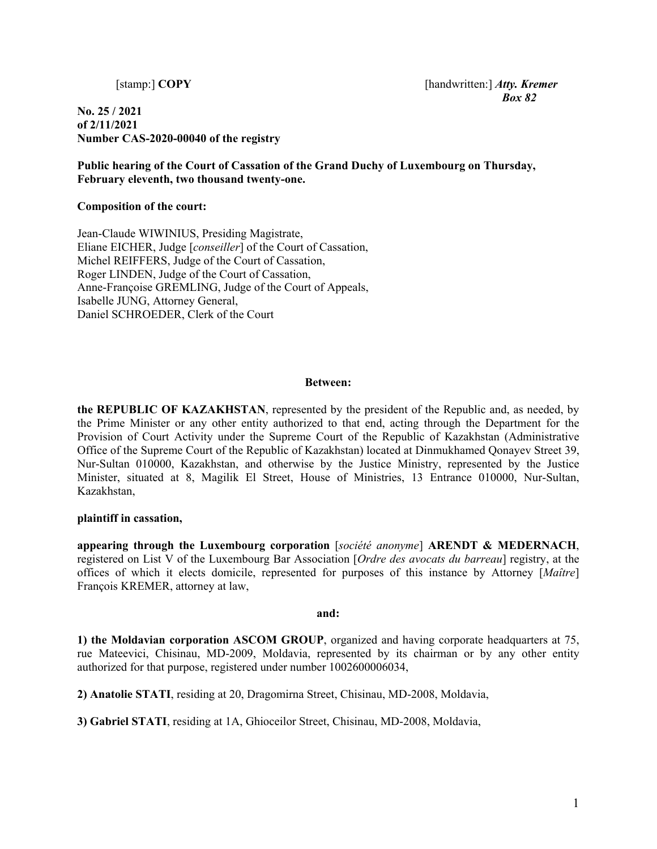**No. 25 / 2021 of 2/11/2021 Number CAS-2020-00040 of the registry** 

 [stamp:] **COPY** [handwritten:] *Atty. Kremer Box 82*

**Public hearing of the Court of Cassation of the Grand Duchy of Luxembourg on Thursday, February eleventh, two thousand twenty-one.** 

**Composition of the court:** 

Jean-Claude WIWINIUS, Presiding Magistrate, Eliane EICHER, Judge [*conseiller*] of the Court of Cassation, Michel REIFFERS, Judge of the Court of Cassation, Roger LINDEN, Judge of the Court of Cassation, Anne-Françoise GREMLING, Judge of the Court of Appeals, Isabelle JUNG, Attorney General, Daniel SCHROEDER, Clerk of the Court

## **Between:**

**the REPUBLIC OF KAZAKHSTAN**, represented by the president of the Republic and, as needed, by the Prime Minister or any other entity authorized to that end, acting through the Department for the Provision of Court Activity under the Supreme Court of the Republic of Kazakhstan (Administrative Office of the Supreme Court of the Republic of Kazakhstan) located at Dinmukhamed Qonayev Street 39, Nur-Sultan 010000, Kazakhstan, and otherwise by the Justice Ministry, represented by the Justice Minister, situated at 8, Magilik El Street, House of Ministries, 13 Entrance 010000, Nur-Sultan, Kazakhstan,

## **plaintiff in cassation,**

**appearing through the Luxembourg corporation** [*société anonyme*] **ARENDT & MEDERNACH**, registered on List V of the Luxembourg Bar Association [*Ordre des avocats du barreau*] registry, at the offices of which it elects domicile, represented for purposes of this instance by Attorney [*Maître*] François KREMER, attorney at law,

## **and:**

**1) the Moldavian corporation ASCOM GROUP**, organized and having corporate headquarters at 75, rue Mateevici, Chisinau, MD-2009, Moldavia, represented by its chairman or by any other entity authorized for that purpose, registered under number 1002600006034,

**2) Anatolie STATI**, residing at 20, Dragomirna Street, Chisinau, MD-2008, Moldavia,

**3) Gabriel STATI**, residing at 1A, Ghioceilor Street, Chisinau, MD-2008, Moldavia,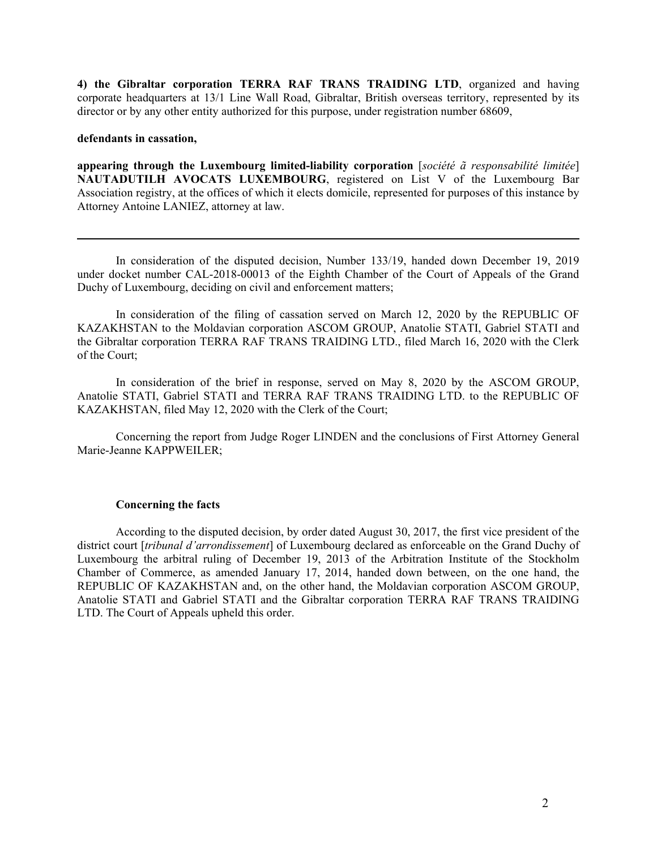**4) the Gibraltar corporation TERRA RAF TRANS TRAIDING LTD**, organized and having corporate headquarters at 13/1 Line Wall Road, Gibraltar, British overseas territory, represented by its director or by any other entity authorized for this purpose, under registration number 68609,

#### **defendants in cassation,**

 $\overline{a}$ 

**appearing through the Luxembourg limited-liability corporation** [*société ã responsabilité limitée*] **NAUTADUTILH AVOCATS LUXEMBOURG**, registered on List V of the Luxembourg Bar Association registry, at the offices of which it elects domicile, represented for purposes of this instance by Attorney Antoine LANIEZ, attorney at law.

 In consideration of the disputed decision, Number 133/19, handed down December 19, 2019 under docket number CAL-2018-00013 of the Eighth Chamber of the Court of Appeals of the Grand Duchy of Luxembourg, deciding on civil and enforcement matters;

 In consideration of the filing of cassation served on March 12, 2020 by the REPUBLIC OF KAZAKHSTAN to the Moldavian corporation ASCOM GROUP, Anatolie STATI, Gabriel STATI and the Gibraltar corporation TERRA RAF TRANS TRAIDING LTD., filed March 16, 2020 with the Clerk of the Court;

 In consideration of the brief in response, served on May 8, 2020 by the ASCOM GROUP, Anatolie STATI, Gabriel STATI and TERRA RAF TRANS TRAIDING LTD. to the REPUBLIC OF KAZAKHSTAN, filed May 12, 2020 with the Clerk of the Court;

 Concerning the report from Judge Roger LINDEN and the conclusions of First Attorney General Marie-Jeanne KAPPWEILER;

### **Concerning the facts**

According to the disputed decision, by order dated August 30, 2017, the first vice president of the district court [*tribunal d'arrondissement*] of Luxembourg declared as enforceable on the Grand Duchy of Luxembourg the arbitral ruling of December 19, 2013 of the Arbitration Institute of the Stockholm Chamber of Commerce, as amended January 17, 2014, handed down between, on the one hand, the REPUBLIC OF KAZAKHSTAN and, on the other hand, the Moldavian corporation ASCOM GROUP, Anatolie STATI and Gabriel STATI and the Gibraltar corporation TERRA RAF TRANS TRAIDING LTD. The Court of Appeals upheld this order.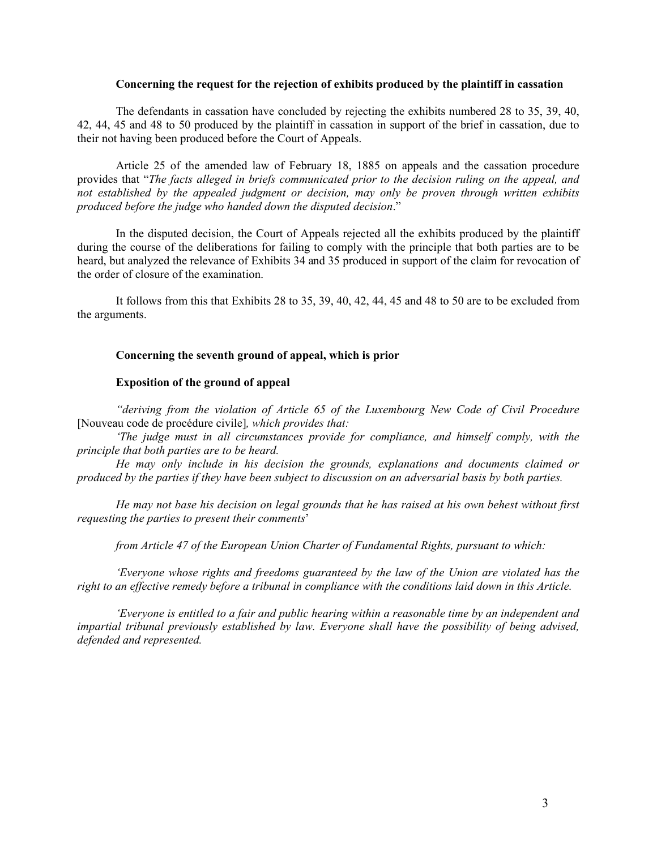## **Concerning the request for the rejection of exhibits produced by the plaintiff in cassation**

 The defendants in cassation have concluded by rejecting the exhibits numbered 28 to 35, 39, 40, 42, 44, 45 and 48 to 50 produced by the plaintiff in cassation in support of the brief in cassation, due to their not having been produced before the Court of Appeals.

 Article 25 of the amended law of February 18, 1885 on appeals and the cassation procedure provides that "*The facts alleged in briefs communicated prior to the decision ruling on the appeal, and not established by the appealed judgment or decision, may only be proven through written exhibits produced before the judge who handed down the disputed decision*."

 In the disputed decision, the Court of Appeals rejected all the exhibits produced by the plaintiff during the course of the deliberations for failing to comply with the principle that both parties are to be heard, but analyzed the relevance of Exhibits 34 and 35 produced in support of the claim for revocation of the order of closure of the examination.

 It follows from this that Exhibits 28 to 35, 39, 40, 42, 44, 45 and 48 to 50 are to be excluded from the arguments.

## **Concerning the seventh ground of appeal, which is prior**

# **Exposition of the ground of appeal**

*"deriving from the violation of Article 65 of the Luxembourg New Code of Civil Procedure*  [Nouveau code de procédure civile]*, which provides that:* 

 *'The judge must in all circumstances provide for compliance, and himself comply, with the principle that both parties are to be heard.* 

 *He may only include in his decision the grounds, explanations and documents claimed or produced by the parties if they have been subject to discussion on an adversarial basis by both parties.* 

 *He may not base his decision on legal grounds that he has raised at his own behest without first requesting the parties to present their comments*'

 *from Article 47 of the European Union Charter of Fundamental Rights, pursuant to which:* 

 *'Everyone whose rights and freedoms guaranteed by the law of the Union are violated has the right to an effective remedy before a tribunal in compliance with the conditions laid down in this Article.* 

 *'Everyone is entitled to a fair and public hearing within a reasonable time by an independent and impartial tribunal previously established by law. Everyone shall have the possibility of being advised, defended and represented.*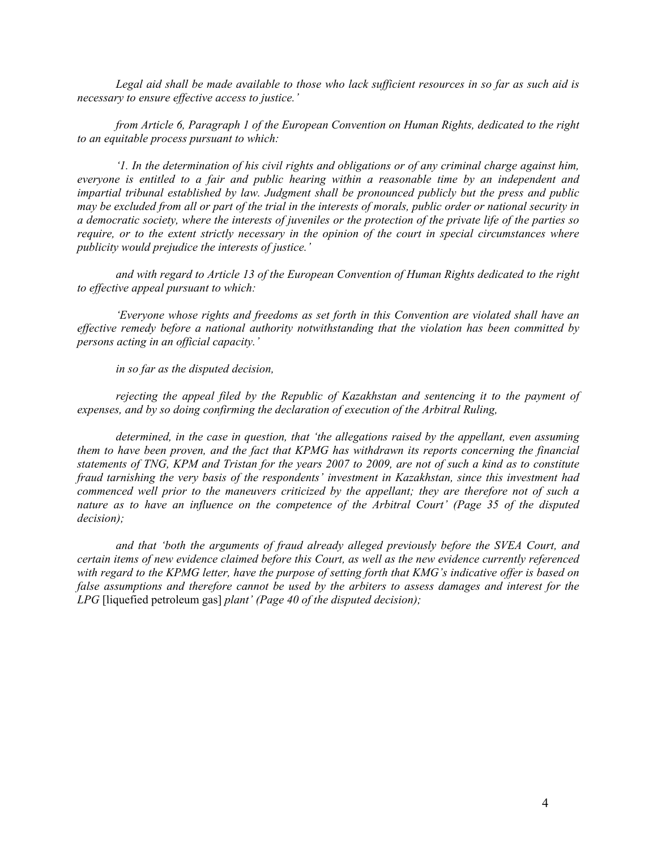*Legal aid shall be made available to those who lack sufficient resources in so far as such aid is necessary to ensure effective access to justice.'* 

 *from Article 6, Paragraph 1 of the European Convention on Human Rights, dedicated to the right to an equitable process pursuant to which:* 

 *'1. In the determination of his civil rights and obligations or of any criminal charge against him, everyone is entitled to a fair and public hearing within a reasonable time by an independent and impartial tribunal established by law. Judgment shall be pronounced publicly but the press and public may be excluded from all or part of the trial in the interests of morals, public order or national security in a democratic society, where the interests of juveniles or the protection of the private life of the parties so require, or to the extent strictly necessary in the opinion of the court in special circumstances where publicity would prejudice the interests of justice.'* 

 *and with regard to Article 13 of the European Convention of Human Rights dedicated to the right to effective appeal pursuant to which:* 

 *'Everyone whose rights and freedoms as set forth in this Convention are violated shall have an effective remedy before a national authority notwithstanding that the violation has been committed by persons acting in an official capacity.'* 

 *in so far as the disputed decision,* 

 *rejecting the appeal filed by the Republic of Kazakhstan and sentencing it to the payment of expenses, and by so doing confirming the declaration of execution of the Arbitral Ruling,* 

 *determined, in the case in question, that 'the allegations raised by the appellant, even assuming them to have been proven, and the fact that KPMG has withdrawn its reports concerning the financial statements of TNG, KPM and Tristan for the years 2007 to 2009, are not of such a kind as to constitute fraud tarnishing the very basis of the respondents' investment in Kazakhstan, since this investment had commenced well prior to the maneuvers criticized by the appellant; they are therefore not of such a nature as to have an influence on the competence of the Arbitral Court' (Page 35 of the disputed decision);* 

 *and that 'both the arguments of fraud already alleged previously before the SVEA Court, and certain items of new evidence claimed before this Court, as well as the new evidence currently referenced with regard to the KPMG letter, have the purpose of setting forth that KMG's indicative offer is based on false assumptions and therefore cannot be used by the arbiters to assess damages and interest for the LPG* [liquefied petroleum gas] *plant' (Page 40 of the disputed decision);*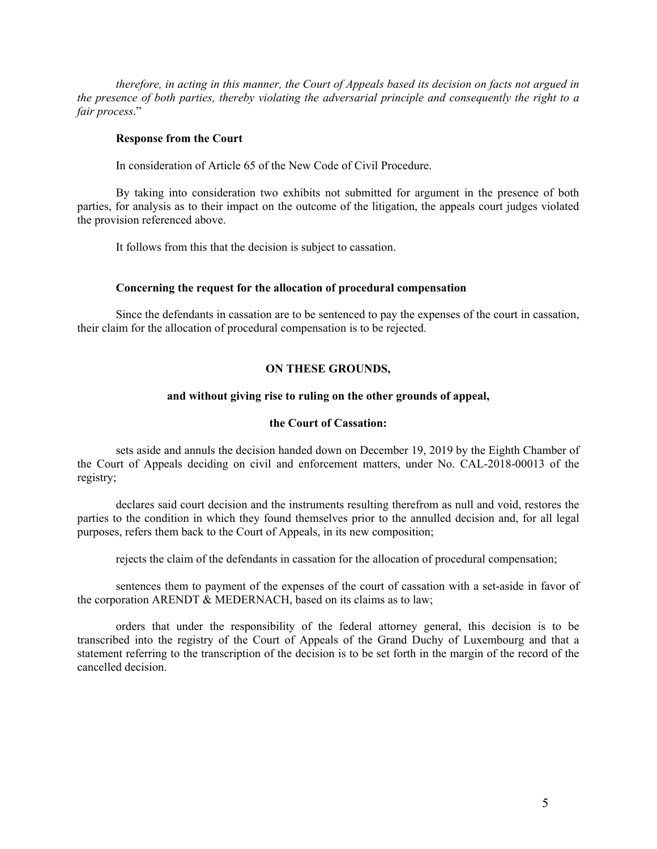*therefore, in acting in this manner, the Court of Appeals based its decision on facts not argued in the presence of both parties, thereby violating the adversarial principle and consequently the right to a fair process*."

## **Response from the Court**

In consideration of Article 65 of the New Code of Civil Procedure.

 By taking into consideration two exhibits not submitted for argument in the presence of both parties, for analysis as to their impact on the outcome of the litigation, the appeals court judges violated the provision referenced above.

It follows from this that the decision is subject to cassation.

### **Concerning the request for the allocation of procedural compensation**

 Since the defendants in cassation are to be sentenced to pay the expenses of the court in cassation, their claim for the allocation of procedural compensation is to be rejected.

## **ON THESE GROUNDS,**

### **and without giving rise to ruling on the other grounds of appeal,**

### **the Court of Cassation:**

 sets aside and annuls the decision handed down on December 19, 2019 by the Eighth Chamber of the Court of Appeals deciding on civil and enforcement matters, under No. CAL-2018-00013 of the registry;

 declares said court decision and the instruments resulting therefrom as null and void, restores the parties to the condition in which they found themselves prior to the annulled decision and, for all legal purposes, refers them back to the Court of Appeals, in its new composition;

rejects the claim of the defendants in cassation for the allocation of procedural compensation;

 sentences them to payment of the expenses of the court of cassation with a set-aside in favor of the corporation ARENDT & MEDERNACH, based on its claims as to law;

 orders that under the responsibility of the federal attorney general, this decision is to be transcribed into the registry of the Court of Appeals of the Grand Duchy of Luxembourg and that a statement referring to the transcription of the decision is to be set forth in the margin of the record of the cancelled decision.